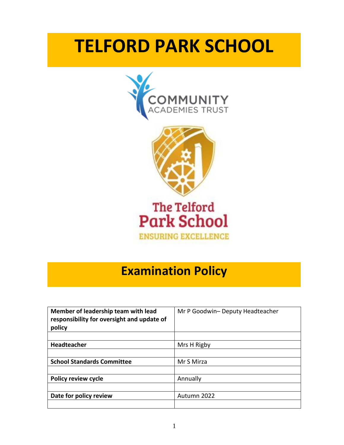# **TELFORD PARK SCHOOL**





**ENSURING EXCELLENCE** 

## **Examination Policy**

| Member of leadership team with lead<br>responsibility for oversight and update of<br>policy | Mr P Goodwin- Deputy Headteacher |
|---------------------------------------------------------------------------------------------|----------------------------------|
|                                                                                             |                                  |
| <b>Headteacher</b>                                                                          | Mrs H Rigby                      |
|                                                                                             |                                  |
| <b>School Standards Committee</b>                                                           | Mr S Mirza                       |
|                                                                                             |                                  |
| <b>Policy review cycle</b>                                                                  | Annually                         |
|                                                                                             |                                  |
| Date for policy review                                                                      | Autumn 2022                      |
|                                                                                             |                                  |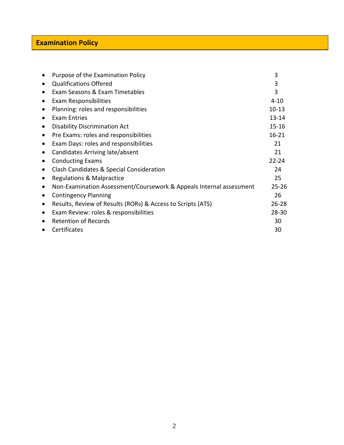## **Examination Policy**

| $\bullet$ | Purpose of the Examination Policy                                   | 3         |
|-----------|---------------------------------------------------------------------|-----------|
| $\bullet$ | <b>Qualifications Offered</b>                                       | 3         |
| ٠         | Exam Seasons & Exam Timetables                                      | 3         |
| $\bullet$ | Exam Responsibilities                                               | $4 - 10$  |
| $\bullet$ | Planning: roles and responsibilities                                | $10 - 13$ |
| ٠         | <b>Exam Entries</b>                                                 | $13 - 14$ |
| $\bullet$ | <b>Disability Discrimination Act</b>                                | $15 - 16$ |
| $\bullet$ | Pre Exams: roles and responsibilities                               | $16 - 21$ |
| $\bullet$ | Exam Days: roles and responsibilities                               | 21        |
|           | Candidates Arriving late/absent                                     | 21        |
|           | <b>Conducting Exams</b>                                             | $22 - 24$ |
| $\bullet$ | Clash Candidates & Special Consideration                            | 24        |
| ٠         | <b>Regulations &amp; Malpractice</b>                                | 25        |
| $\bullet$ | Non-Examination Assessment/Coursework & Appeals Internal assessment | $25 - 26$ |
| $\bullet$ | <b>Contingency Planning</b>                                         | 26        |
| $\bullet$ | Results, Review of Results (RORs) & Access to Scripts (ATS)         | $26 - 28$ |
| $\bullet$ | Exam Review: roles & responsibilities                               | 28-30     |
| $\bullet$ | <b>Retention of Records</b>                                         | 30        |
|           | Certificates                                                        | 30        |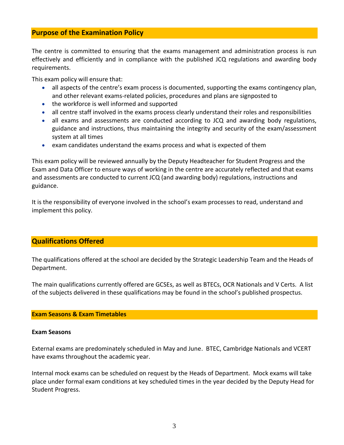## **Purpose of the Examination Policy**

The centre is committed to ensuring that the exams management and administration process is run effectively and efficiently and in compliance with the published JCQ regulations and awarding body requirements.

This exam policy will ensure that:

- all aspects of the centre's exam process is documented, supporting the exams contingency plan, and other relevant exams-related policies, procedures and plans are signposted to
- the workforce is well informed and supported
- all centre staff involved in the exams process clearly understand their roles and responsibilities
- all exams and assessments are conducted according to JCQ and awarding body regulations, guidance and instructions, thus maintaining the integrity and security of the exam/assessment system at all times
- exam candidates understand the exams process and what is expected of them

This exam policy will be reviewed annually by the Deputy Headteacher for Student Progress and the Exam and Data Officer to ensure ways of working in the centre are accurately reflected and that exams and assessments are conducted to current JCQ (and awarding body) regulations, instructions and guidance.

It is the responsibility of everyone involved in the school's exam processes to read, understand and implement this policy.

## **Qualifications Offered**

The qualifications offered at the school are decided by the Strategic Leadership Team and the Heads of Department.

The main qualifications currently offered are GCSEs, as well as BTECs, OCR Nationals and V Certs. A list of the subjects delivered in these qualifications may be found in the school's published prospectus.

#### **Exam Seasons & Exam Timetables**

#### **Exam Seasons**

External exams are predominately scheduled in May and June. BTEC, Cambridge Nationals and VCERT have exams throughout the academic year.

Internal mock exams can be scheduled on request by the Heads of Department. Mock exams will take place under formal exam conditions at key scheduled times in the year decided by the Deputy Head for Student Progress.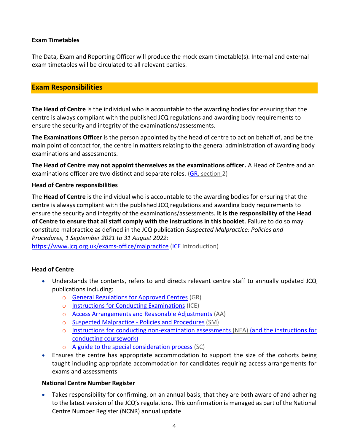## **Exam Timetables**

The Data, Exam and Reporting Officer will produce the mock exam timetable(s). Internal and external exam timetables will be circulated to all relevant parties.

## **Exam Responsibilities**

**The Head of Centre** is the individual who is accountable to the awarding bodies for ensuring that the centre is always compliant with the published JCQ regulations and awarding body requirements to ensure the security and integrity of the examinations/assessments.

**The Examinations Officer** is the person appointed by the head of centre to act on behalf of, and be the main point of contact for, the centre in matters relating to the general administration of awarding body examinations and assessments.

**The Head of Centre may not appoint themselves as the examinations officer.** A Head of Centre and an examinations officer are two distinct and separate roles. [\(GR,](http://www.jcq.org.uk/exams-office/general-regulations) section 2)

#### **Head of Centre responsibilities**

The **Head of Centre** is the individual who is accountable to the awarding bodies for ensuring that the centre is always compliant with the published JCQ regulations and awarding body requirements to ensure the security and integrity of the examinations/assessments. **It is the responsibility of the Head of Centre to ensure that all staff comply with the instructions in this booklet**. Failure to do so may constitute malpractice as defined in the JCQ publication *Suspected Malpractice: Policies and Procedures, 1 September 2021 to 31 August 2022:* 

<https://www.jcq.org.uk/exams-office/malpractice> [\(ICE](http://www.jcq.org.uk/exams-office/ice---instructions-for-conducting-examinations) Introduction)

## **Head of Centre**

- Understands the contents, refers to and directs relevant centre staff to annually updated JCQ publications including:
	- o [General Regulations for Approved Centres](http://www.jcq.org.uk/exams-office/general-regulations) (GR)
	- o [Instructions for Conducting Examinations](http://www.jcq.org.uk/exams-office/ice---instructions-for-conducting-examinations) (ICE)
	- o [Access Arrangements and Reasonable Adjustments](http://www.jcq.org.uk/exams-office/access-arrangements-and-special-consideration/regulations-and-guidance) (AA)
	- o [Suspected Malpractice -](http://www.jcq.org.uk/exams-office/malpractice) Policies and Procedures (SM)
	- o [Instructions for conducting non-examination assessments](http://www.jcq.org.uk/exams-office/non-examination-assessments) (NEA) (and the instructions for conducting coursework)
	- o [A guide to the special consideration process](http://www.jcq.org.uk/exams-office/access-arrangements-and-special-consideration/regulations-and-guidance) (SC)
- Ensures the centre has appropriate accommodation to support the size of the cohorts being taught including appropriate accommodation for candidates requiring access arrangements for exams and assessments

#### **National Centre Number Register**

• Takes responsibility for confirming, on an annual basis, that they are both aware of and adhering to the latest version of the JCQ's regulations. This confirmation is managed as part of the National Centre Number Register (NCNR) annual update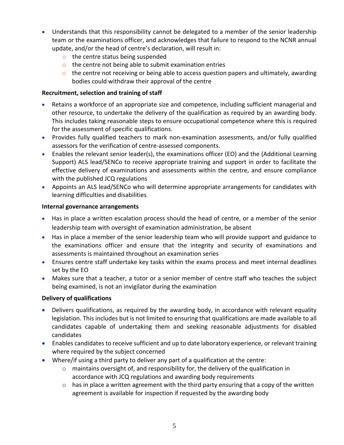- Understands that this responsibility cannot be delegated to a member of the senior leadership team or the examinations officer, and acknowledges that failure to respond to the NCNR annual update, and/or the head of centre's declaration, will result in:
	- o the centre status being suspended
	- o the centre not being able to submit examination entries
	- $\circ$  the centre not receiving or being able to access question papers and ultimately, awarding bodies could withdraw their approval of the centre

## **Recruitment, selection and training of staff**

- Retains a workforce of an appropriate size and competence, including sufficient managerial and other resource, to undertake the delivery of the qualification as required by an awarding body. This includes taking reasonable steps to ensure occupational competence where this is required for the assessment of specific qualifications.
- Provides fully qualified teachers to mark non-examination assessments, and/or fully qualified assessors for the verification of centre-assessed components.
- Enables the relevant senior leader(s), the examinations officer (EO) and the (Additional Learning Support) ALS lead/SENCo to receive appropriate training and support in order to facilitate the effective delivery of examinations and assessments within the centre, and ensure compliance with the published JCQ regulations
- Appoints an ALS lead/SENCo who will determine appropriate arrangements for candidates with learning difficulties and disabilities

## **Internal governance arrangements**

- Has in place a written escalation process should the head of centre, or a member of the senior leadership team with oversight of examination administration, be absent
- Has in place a member of the senior leadership team who will provide support and guidance to the examinations officer and ensure that the integrity and security of examinations and assessments is maintained throughout an examination series
- Ensures centre staff undertake key tasks within the exams process and meet internal deadlines set by the EO
- Makes sure that a teacher, a tutor or a senior member of centre staff who teaches the subject being examined, is not an invigilator during the examination

## **Delivery of qualifications**

- Delivers qualifications, as required by the awarding body, in accordance with relevant equality legislation. This includes but is not limited to ensuring that qualifications are made available to all candidates capable of undertaking them and seeking reasonable adjustments for disabled candidates
- Enables candidates to receive sufficient and up to date laboratory experience, or relevant training where required by the subject concerned
- Where/if using a third party to deliver any part of a qualification at the centre:
	- $\circ$  maintains oversight of, and responsibility for, the delivery of the qualification in accordance with JCQ regulations and awarding body requirements
	- $\circ$  has in place a written agreement with the third party ensuring that a copy of the written agreement is available for inspection if requested by the awarding body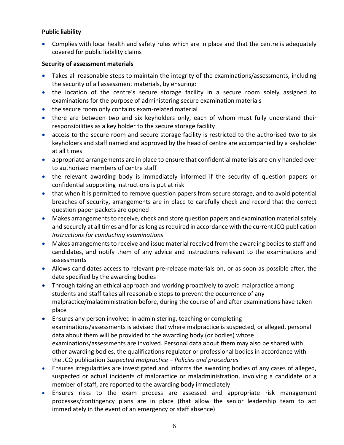## **Public liability**

• Complies with local health and safety rules which are in place and that the centre is adequately covered for public liability claims

## **Security of assessment materials**

- Takes all reasonable steps to maintain the integrity of the examinations/assessments, including the security of all assessment materials, by ensuring:
- the location of the centre's secure storage facility in a secure room solely assigned to examinations for the purpose of administering secure examination materials
- the secure room only contains exam-related material
- there are between two and six keyholders only, each of whom must fully understand their responsibilities as a key holder to the secure storage facility
- access to the secure room and secure storage facility is restricted to the authorised two to six keyholders and staff named and approved by the head of centre are accompanied by a keyholder at all times
- appropriate arrangements are in place to ensure that confidential materials are only handed over to authorised members of centre staff
- the relevant awarding body is immediately informed if the security of question papers or confidential supporting instructions is put at risk
- that when it is permitted to remove question papers from secure storage, and to avoid potential breaches of security, arrangements are in place to carefully check and record that the correct question paper packets are opened
- Makes arrangements to receive, check and store question papers and examination material safely and securely at all times and for as long as required in accordance with the current JCQ publication *Instructions for conducting examinations*
- Makes arrangements to receive and issue material received from the awarding bodies to staff and candidates, and notify them of any advice and instructions relevant to the examinations and assessments
- Allows candidates access to relevant pre-release materials on, or as soon as possible after, the date specified by the awarding bodies
- Through taking an ethical approach and working proactively to avoid malpractice among students and staff takes all reasonable steps to prevent the occurrence of any malpractice/maladministration before, during the course of and after examinations have taken place
- Ensures any person involved in administering, teaching or completing examinations/assessments is advised that where malpractice is suspected, or alleged, personal data about them will be provided to the awarding body (or bodies) whose examinations/assessments are involved. Personal data about them may also be shared with other awarding bodies, the qualifications regulator or professional bodies in accordance with the JCQ publication *Suspected malpractice – Policies and procedures*
- Ensures irregularities are investigated and informs the awarding bodies of any cases of alleged, suspected or actual incidents of malpractice or maladministration, involving a candidate or a member of staff, are reported to the awarding body immediately
- Ensures risks to the exam process are assessed and appropriate risk management processes/contingency plans are in place (that allow the senior leadership team to act immediately in the event of an emergency or staff absence)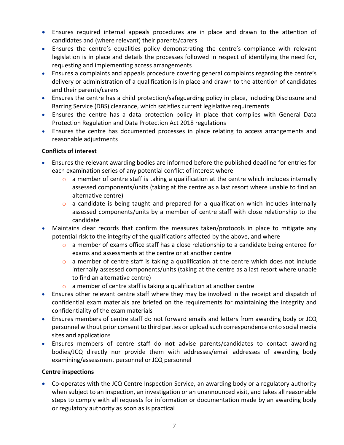- Ensures required internal appeals procedures are in place and drawn to the attention of candidates and (where relevant) their parents/carers
- Ensures the centre's equalities policy demonstrating the centre's compliance with relevant legislation is in place and details the processes followed in respect of identifying the need for, requesting and implementing access arrangements
- Ensures a complaints and appeals procedure covering general complaints regarding the centre's delivery or administration of a qualification is in place and drawn to the attention of candidates and their parents/carers
- Ensures the centre has a child protection/safeguarding policy in place, including Disclosure and Barring Service (DBS) clearance, which satisfies current legislative requirements
- Ensures the centre has a data protection policy in place that complies with General Data Protection Regulation and Data Protection Act 2018 regulations
- Ensures the centre has documented processes in place relating to access arrangements and reasonable adjustments

## **Conflicts of interest**

- Ensures the relevant awarding bodies are informed before the published deadline for entries for each examination series of any potential conflict of interest where
	- $\circ$  a member of centre staff is taking a qualification at the centre which includes internally assessed components/units (taking at the centre as a last resort where unable to find an alternative centre)
	- o a candidate is being taught and prepared for a qualification which includes internally assessed components/units by a member of centre staff with close relationship to the candidate
- Maintains clear records that confirm the measures taken/protocols in place to mitigate any potential risk to the integrity of the qualifications affected by the above, and where
	- $\circ$  a member of exams office staff has a close relationship to a candidate being entered for exams and assessments at the centre or at another centre
	- $\circ$  a member of centre staff is taking a qualification at the centre which does not include internally assessed components/units (taking at the centre as a last resort where unable to find an alternative centre)
	- $\circ$  a member of centre staff is taking a qualification at another centre
- Ensures other relevant centre staff where they may be involved in the receipt and dispatch of confidential exam materials are briefed on the requirements for maintaining the integrity and confidentiality of the exam materials
- Ensures members of centre staff do not forward emails and letters from awarding body or JCQ personnel without prior consent to third parties or upload such correspondence onto social media sites and applications
- Ensures members of centre staff do **not** advise parents/candidates to contact awarding bodies/JCQ directly nor provide them with addresses/email addresses of awarding body examining/assessment personnel or JCQ personnel

## **Centre inspections**

• Co-operates with the JCQ Centre Inspection Service, an awarding body or a regulatory authority when subject to an inspection, an investigation or an unannounced visit, and takes all reasonable steps to comply with all requests for information or documentation made by an awarding body or regulatory authority as soon as is practical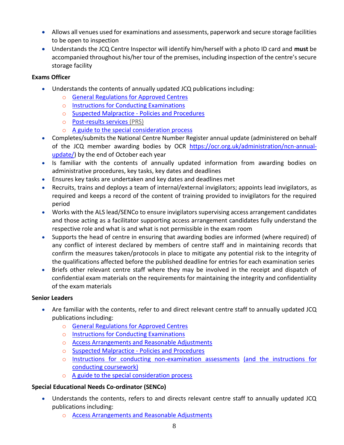- Allows all venues used for examinations and assessments, paperwork and secure storage facilities to be open to inspection
- Understands the JCQ Centre Inspector will identify him/herself with a photo ID card and **must** be accompanied throughout his/her tour of the premises, including inspection of the centre's secure storage facility

## **Exams Officer**

- Understands the contents of annually updated JCQ publications including:
	- o [General Regulations for Approved Centres](http://www.jcq.org.uk/exams-office/general-regulations)
	- o [Instructions for Conducting Examinations](http://www.jcq.org.uk/exams-office/ice---instructions-for-conducting-examinations)
	- o [Suspected Malpractice -](http://www.jcq.org.uk/exams-office/malpractice) Policies and Procedures
	- o [Post-results services](http://www.jcq.org.uk/exams-office/post-results-services) (PRS)
	- o [A guide to the special consideration process](https://www.jcq.org.uk/exams-office/access-arrangements-and-special-consideration/regulations-and-guidance/)
- Completes/submits the National Centre Number Register annual update (administered on behalf of the JCQ member awarding bodies by OCR [https://ocr.org.uk/administration/ncn-annual](https://ocr.org.uk/administration/ncn-annual-update/)[update/\)](https://ocr.org.uk/administration/ncn-annual-update/) by the end of October each year
- Is familiar with the contents of annually updated information from awarding bodies on administrative procedures, key tasks, key dates and deadlines
- Ensures key tasks are undertaken and key dates and deadlines met
- Recruits, trains and deploys a team of internal/external invigilators; appoints lead invigilators, as required and keeps a record of the content of training provided to invigilators for the required period
- Works with the ALS lead/SENCo to ensure invigilators supervising access arrangement candidates and those acting as a facilitator supporting access arrangement candidates fully understand the respective role and what is and what is not permissible in the exam room
- Supports the head of centre in ensuring that awarding bodies are informed (where required) of any conflict of interest declared by members of centre staff and in maintaining records that confirm the measures taken/protocols in place to mitigate any potential risk to the integrity of the qualifications affected before the published deadline for entries for each examination series
- Briefs other relevant centre staff where they may be involved in the receipt and dispatch of confidential exam materials on the requirements for maintaining the integrity and confidentiality of the exam materials

## **Senior Leaders**

- Are familiar with the contents, refer to and direct relevant centre staff to annually updated JCQ publications including:
	- o [General Regulations for Approved Centres](http://www.jcq.org.uk/exams-office/general-regulations)
	- o [Instructions for Conducting Examinations](http://www.jcq.org.uk/exams-office/ice---instructions-for-conducting-examinations)
	- o [Access Arrangements and Reasonable Adjustments](http://www.jcq.org.uk/exams-office/access-arrangements-and-special-consideration/regulations-and-guidance)
	- o [Suspected Malpractice -](http://www.jcq.org.uk/exams-office/malpractice) Policies and Procedures
	- o Instructions for [conducting non-examination assessments](http://www.jcq.org.uk/exams-office/non-examination-assessments) (and the instructions for conducting coursework)
	- o [A guide to the special consideration process](http://www.jcq.org.uk/exams-office/access-arrangements-and-special-consideration/regulations-and-guidance)

## **Special Educational Needs Co-ordinator (SENCo)**

- Understands the contents, refers to and directs relevant centre staff to annually updated JCQ publications including:
	- o [Access Arrangements and Reasonable Adjustments](http://www.jcq.org.uk/exams-office/access-arrangements-and-special-consideration/regulations-and-guidance)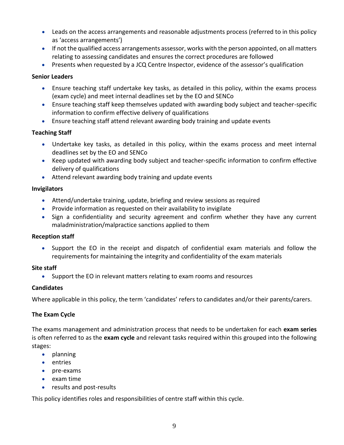- Leads on the access arrangements and reasonable adjustments process (referred to in this policy as 'access arrangements')
- If not the qualified access arrangements assessor, works with the person appointed, on all matters relating to assessing candidates and ensures the correct procedures are followed
- Presents when requested by a JCQ Centre Inspector, evidence of the assessor's qualification

## **Senior Leaders**

- Ensure teaching staff undertake key tasks, as detailed in this policy, within the exams process (exam cycle) and meet internal deadlines set by the EO and SENCo
- Ensure teaching staff keep themselves updated with awarding body subject and teacher-specific information to confirm effective delivery of qualifications
- Ensure teaching staff attend relevant awarding body training and update events

## **Teaching Staff**

- Undertake key tasks, as detailed in this policy, within the exams process and meet internal deadlines set by the EO and SENCo
- Keep updated with awarding body subject and teacher-specific information to confirm effective delivery of qualifications
- Attend relevant awarding body training and update events

## **Invigilators**

- Attend/undertake training, update, briefing and review sessions as required
- Provide information as requested on their availability to invigilate
- Sign a confidentiality and security agreement and confirm whether they have any current maladministration/malpractice sanctions applied to them

## **Reception staff**

• Support the EO in the receipt and dispatch of confidential exam materials and follow the requirements for maintaining the integrity and confidentiality of the exam materials

## **Site staff**

• Support the EO in relevant matters relating to exam rooms and resources

## **Candidates**

Where applicable in this policy, the term 'candidates' refers to candidates and/or their parents/carers.

## **The Exam Cycle**

The exams management and administration process that needs to be undertaken for each **exam series** is often referred to as the **exam cycle** and relevant tasks required within this grouped into the following stages:

- planning
- entries
- pre-exams
- exam time
- results and post-results

This policy identifies roles and responsibilities of centre staff within this cycle.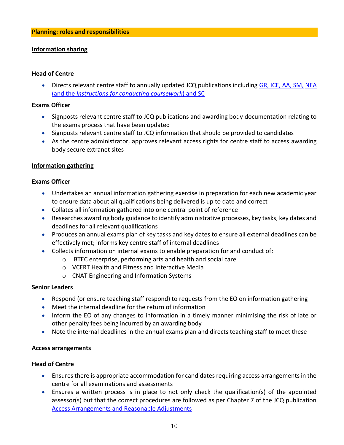#### **Information sharing**

#### **Head of Centre**

• Directs relevant centre staff to annually updated JCQ publications including [GR,](http://www.jcq.org.uk/exams-office/general-regulations) [ICE,](http://www.jcq.org.uk/exams-office/ice---instructions-for-conducting-examinations) [AA,](http://www.jcq.org.uk/exams-office/access-arrangements-and-special-consideration) [SM,](http://www.jcq.org.uk/exams-office/malpractice) [NEA](http://www.jcq.org.uk/exams-office/non-examination-assessments) (and the *Instructions for conducting coursework*) and [SC](http://www.jcq.org.uk/exams-office/access-arrangements-and-special-consideration/regulations-and-guidance)

#### **Exams Officer**

- Signposts relevant centre staff to JCQ publications and awarding body documentation relating to the exams process that have been updated
- Signposts relevant centre staff to JCQ information that should be provided to candidates
- As the centre administrator, approves relevant access rights for centre staff to access awarding body secure extranet sites

## **Information gathering**

#### **Exams Officer**

- Undertakes an annual information gathering exercise in preparation for each new academic year to ensure data about all qualifications being delivered is up to date and correct
- Collates all information gathered into one central point of reference
- Researches awarding body guidance to identify administrative processes, key tasks, key dates and deadlines for all relevant qualifications
- Produces an annual exams plan of key tasks and key dates to ensure all external deadlines can be effectively met; informs key centre staff of internal deadlines
- Collects information on internal exams to enable preparation for and conduct of:
	- o BTEC enterprise, performing arts and health and social care
	- o VCERT Health and Fitness and Interactive Media
	- o CNAT Engineering and Information Systems

## **Senior Leaders**

- Respond (or ensure teaching staff respond) to requests from the EO on information gathering
- Meet the internal deadline for the return of information
- Inform the EO of any changes to information in a timely manner minimising the risk of late or other penalty fees being incurred by an awarding body
- Note the internal deadlines in the annual exams plan and directs teaching staff to meet these

#### **Access arrangements**

#### **Head of Centre**

- Ensures there is appropriate accommodation for candidates requiring access arrangements in the centre for all examinations and assessments
- Ensures a written process is in place to not only check the qualification(s) of the appointed assessor(s) but that the correct procedures are followed as per Chapter 7 of the JCQ publication [Access Arrangements and Reasonable Adjustments](http://www.jcq.org.uk/exams-office/access-arrangements-and-special-consideration/regulations-and-guidance)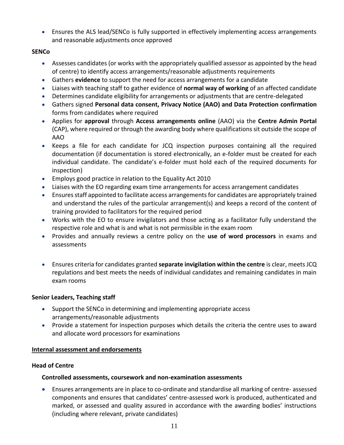• Ensures the ALS lead/SENCo is fully supported in effectively implementing access arrangements and reasonable adjustments once approved

## **SENCo**

- Assesses candidates (or works with the appropriately qualified assessor as appointed by the head of centre) to identify access arrangements/reasonable adjustments requirements
- Gathers **evidence** to support the need for access arrangements for a candidate
- Liaises with teaching staff to gather evidence of **normal way of working** of an affected candidate
- Determines candidate eligibility for arrangements or adjustments that are centre-delegated
- Gathers signed **Personal data consent, Privacy Notice (AAO) and Data Protection confirmation** forms from candidates where required
- Applies for **approval** through **Access arrangements online** (AAO) via the **Centre Admin Portal** (CAP), where required or through the awarding body where qualifications sit outside the scope of AAO
- Keeps a file for each candidate for JCQ inspection purposes containing all the required documentation (if documentation is stored electronically, an e-folder must be created for each individual candidate. The candidate's e-folder must hold each of the required documents for inspection)
- Employs good practice in relation to the Equality Act 2010
- Liaises with the EO regarding exam time arrangements for access arrangement candidates
- Ensures staff appointed to facilitate access arrangements for candidates are appropriately trained and understand the rules of the particular arrangement(s) and keeps a record of the content of training provided to facilitators for the required period
- Works with the EO to ensure invigilators and those acting as a facilitator fully understand the respective role and what is and what is not permissible in the exam room
- Provides and annually reviews a centre policy on the **use of word processors** in exams and assessments
- Ensures criteria for candidates granted **separate invigilation within the centre** is clear, meets JCQ regulations and best meets the needs of individual candidates and remaining candidates in main exam rooms

## **Senior Leaders, Teaching staff**

- Support the SENCo in determining and implementing appropriate access arrangements/reasonable adjustments
- Provide a statement for inspection purposes which details the criteria the centre uses to award and allocate word processors for examinations

## **Internal assessment and endorsements**

## **Head of Centre**

## **Controlled assessments, coursework and non-examination assessments**

• Ensures arrangements are in place to co-ordinate and standardise all marking of centre- assessed components and ensures that candidates' centre-assessed work is produced, authenticated and marked, or assessed and quality assured in accordance with the awarding bodies' instructions (including where relevant, private candidates)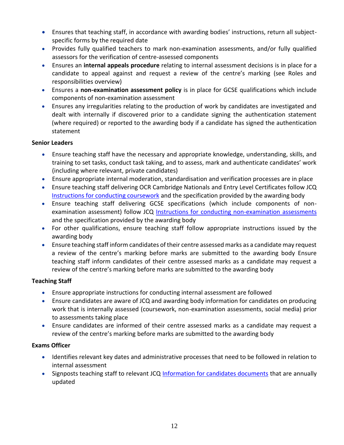- Ensures that teaching staff, in accordance with awarding bodies' instructions, return all subjectspecific forms by the required date
- Provides fully qualified teachers to mark non-examination assessments, and/or fully qualified assessors for the verification of centre-assessed components
- Ensures an **internal appeals procedure** relating to internal assessment decisions is in place for a candidate to appeal against and request a review of the centre's marking (see Roles and responsibilities overview)
- Ensures a **non-examination assessment policy** is in place for GCSE qualifications which include components of non-examination assessment
- Ensures any irregularities relating to the production of work by candidates are investigated and dealt with internally if discovered prior to a candidate signing the authentication statement (where required) or reported to the awarding body if a candidate has signed the authentication statement

## **Senior Leaders**

- Ensure teaching staff have the necessary and appropriate knowledge, understanding, skills, and training to set tasks, conduct task taking, and to assess, mark and authenticate candidates' work (including where relevant, private candidates)
- Ensure appropriate internal moderation, standardisation and verification processes are in place
- Ensure teaching staff delivering OCR Cambridge Nationals and Entry Level Certificates follow JCQ [Instructions for conducting coursework](http://www.jcq.org.uk/exams-office/coursework) and the specification provided by the awarding body
- Ensure teaching staff delivering GCSE specifications (which include components of nonexamination assessment) follow JCQ [Instructions for conducting non-examination assessments](http://www.jcq.org.uk/exams-office/non-examination-assessments) and the specification provided by the awarding body
- For other qualifications, ensure teaching staff follow appropriate instructions issued by the awarding body
- Ensure teaching staff inform candidates of their centre assessed marks as a candidate may request a review of the centre's marking before marks are submitted to the awarding body Ensure teaching staff inform candidates of their centre assessed marks as a candidate may request a review of the centre's marking before marks are submitted to the awarding body

## **Teaching Staff**

- Ensure appropriate instructions for conducting internal assessment are followed
- Ensure candidates are aware of JCQ and awarding body information for candidates on producing work that is internally assessed (coursework, non-examination assessments, social media) prior to assessments taking place
- Ensure candidates are informed of their centre assessed marks as a candidate may request a review of the centre's marking before marks are submitted to the awarding body

## **Exams Officer**

- Identifies relevant key dates and administrative processes that need to be followed in relation to internal assessment
- Signposts teaching staff to relevant JCQ [Information for candidates documents](https://www.jcq.org.uk/exams-office/information-for-candidates-documents/) that are annually updated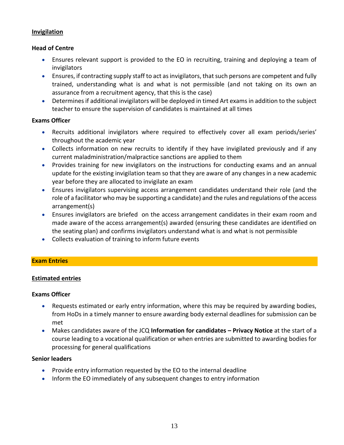## **Invigilation**

## **Head of Centre**

- Ensures relevant support is provided to the EO in recruiting, training and deploying a team of invigilators
- Ensures, if contracting supply staff to act as invigilators, that such persons are competent and fully trained, understanding what is and what is not permissible (and not taking on its own an assurance from a recruitment agency, that this is the case)
- Determines if additional invigilators will be deployed in timed Art exams in addition to the subject teacher to ensure the supervision of candidates is maintained at all times

## **Exams Officer**

- Recruits additional invigilators where required to effectively cover all exam periods/series' throughout the academic year
- Collects information on new recruits to identify if they have invigilated previously and if any current maladministration/malpractice sanctions are applied to them
- Provides training for new invigilators on the instructions for conducting exams and an annual update for the existing invigilation team so that they are aware of any changes in a new academic year before they are allocated to invigilate an exam
- Ensures invigilators supervising access arrangement candidates understand their role (and the role of a facilitator who may be supporting a candidate) and the rules and regulations of the access arrangement(s)
- Ensures invigilators are briefed on the access arrangement candidates in their exam room and made aware of the access arrangement(s) awarded (ensuring these candidates are identified on the seating plan) and confirms invigilators understand what is and what is not permissible
- Collects evaluation of training to inform future events

## **Exam Entries**

## **Estimated entries**

## **Exams Officer**

- Requests estimated or early entry information, where this may be required by awarding bodies, from HoDs in a timely manner to ensure awarding body external deadlines for submission can be met
- Makes candidates aware of the JCQ **Information for candidates – Privacy Notice** at the start of a course leading to a vocational qualification or when entries are submitted to awarding bodies for processing for general qualifications

## **Senior leaders**

- Provide entry information requested by the EO to the internal deadline
- Inform the EO immediately of any subsequent changes to entry information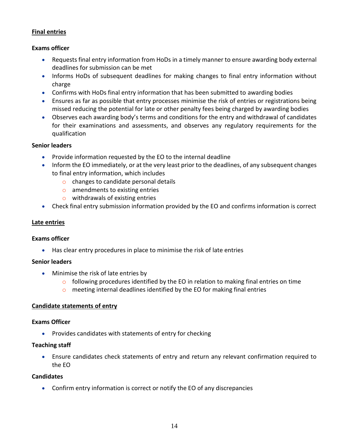## **Final entries**

## **Exams officer**

- Requests final entry information from HoDs in a timely manner to ensure awarding body external deadlines for submission can be met
- Informs HoDs of subsequent deadlines for making changes to final entry information without charge
- Confirms with HoDs final entry information that has been submitted to awarding bodies
- Ensures as far as possible that entry processes minimise the risk of entries or registrations being missed reducing the potential for late or other penalty fees being charged by awarding bodies
- Observes each awarding body's terms and conditions for the entry and withdrawal of candidates for their examinations and assessments, and observes any regulatory requirements for the qualification

## **Senior leaders**

- Provide information requested by the EO to the internal deadline
- Inform the EO immediately, or at the very least prior to the deadlines, of any subsequent changes to final entry information, which includes
	- o changes to candidate personal details
	- o amendments to existing entries
	- o withdrawals of existing entries
- Check final entry submission information provided by the EO and confirms information is correct

## **Late entries**

#### **Exams officer**

• Has clear entry procedures in place to minimise the risk of late entries

#### **Senior leaders**

- Minimise the risk of late entries by
	- $\circ$  following procedures identified by the EO in relation to making final entries on time
	- $\circ$  meeting internal deadlines identified by the EO for making final entries

#### **Candidate statements of entry**

#### **Exams Officer**

• Provides candidates with statements of entry for checking

#### **Teaching staff**

• Ensure candidates check statements of entry and return any relevant confirmation required to the EO

#### **Candidates**

• Confirm entry information is correct or notify the EO of any discrepancies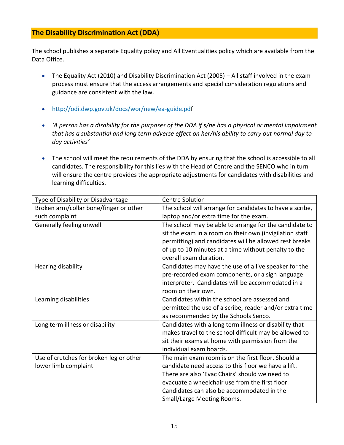## **The Disability Discrimination Act (DDA)**

The school publishes a separate Equality policy and All Eventualities policy which are available from the Data Office.

- The Equality Act (2010) and Disability Discrimination Act (2005) All staff involved in the exam process must ensure that the access arrangements and special consideration regulations and guidance are consistent with the law.
- <http://odi.dwp.gov.uk/docs/wor/new/ea-guide.pdf>
- *'A person has a disability for the purposes of the DDA if s/he has a physical or mental impairment that has a substantial and long term adverse effect on her/his ability to carry out normal day to day activities'*
- The school will meet the requirements of the DDA by ensuring that the school is accessible to all candidates. The responsibility for this lies with the Head of Centre and the SENCO who in turn will ensure the centre provides the appropriate adjustments for candidates with disabilities and learning difficulties.

| Type of Disability or Disadvantage      | <b>Centre Solution</b>                                   |
|-----------------------------------------|----------------------------------------------------------|
| Broken arm/collar bone/finger or other  | The school will arrange for candidates to have a scribe, |
| such complaint                          | laptop and/or extra time for the exam.                   |
| Generally feeling unwell                | The school may be able to arrange for the candidate to   |
|                                         | sit the exam in a room on their own (invigilation staff  |
|                                         | permitting) and candidates will be allowed rest breaks   |
|                                         | of up to 10 minutes at a time without penalty to the     |
|                                         | overall exam duration.                                   |
| Hearing disability                      | Candidates may have the use of a live speaker for the    |
|                                         | pre-recorded exam components, or a sign language         |
|                                         | interpreter. Candidates will be accommodated in a        |
|                                         | room on their own.                                       |
| Learning disabilities                   | Candidates within the school are assessed and            |
|                                         | permitted the use of a scribe, reader and/or extra time  |
|                                         | as recommended by the Schools Senco.                     |
| Long term illness or disability         | Candidates with a long term illness or disability that   |
|                                         | makes travel to the school difficult may be allowed to   |
|                                         | sit their exams at home with permission from the         |
|                                         | individual exam boards.                                  |
| Use of crutches for broken leg or other | The main exam room is on the first floor. Should a       |
| lower limb complaint                    | candidate need access to this floor we have a lift.      |
|                                         | There are also 'Evac Chairs' should we need to           |
|                                         | evacuate a wheelchair use from the first floor.          |
|                                         | Candidates can also be accommodated in the               |
|                                         | Small/Large Meeting Rooms.                               |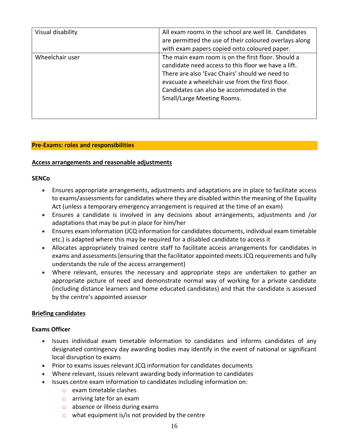| Visual disability | All exam rooms in the school are well lit. Candidates<br>are permitted the use of their coloured overlays along<br>with exam papers copied onto coloured paper.                                                                                                                            |
|-------------------|--------------------------------------------------------------------------------------------------------------------------------------------------------------------------------------------------------------------------------------------------------------------------------------------|
| Wheelchair user   | The main exam room is on the first floor. Should a<br>candidate need access to this floor we have a lift.<br>There are also 'Evac Chairs' should we need to<br>evacuate a wheelchair use from the first floor.<br>Candidates can also be accommodated in the<br>Small/Large Meeting Rooms. |

#### **Pre-Exams: roles and responsibilities**

#### **Access arrangements and reasonable adjustments**

#### **SENCo**

- Ensures appropriate arrangements, adjustments and adaptations are in place to facilitate access to exams/assessments for candidates where they are disabled within the meaning of the Equality Act (unless a temporary emergency arrangement is required at the time of an exam)
- Ensures a candidate is involved in any decisions about arrangements, adjustments and /or adaptations that may be put in place for him/her
- Ensures exam information (JCQ information for candidates documents, individual exam timetable etc.) is adapted where this may be required for a disabled candidate to access it
- Allocates appropriately trained centre staff to facilitate access arrangements for candidates in exams and assessments (ensuring that the facilitator appointed meets JCQ requirements and fully understands the rule of the access arrangement)
- Where relevant, ensures the necessary and appropriate steps are undertaken to gather an appropriate picture of need and demonstrate normal way of working for a private candidate (including distance learners and home educated candidates) and that the candidate is assessed by the centre's appointed assessor

#### **Briefing candidates**

#### **Exams Officer**

- Issues individual exam timetable information to candidates and informs candidates of any designated contingency day awarding bodies may identify in the event of national or significant local disruption to exams
- Prior to exams issues relevant JCQ information for candidates documents
- Where relevant, issues relevant awarding body information to candidates
- Issues centre exam information to candidates including information on:
	- o exam timetable clashes
	- o arriving late for an exam
	- o absence or illness during exams
	- $\circ$  what equipment is/is not provided by the centre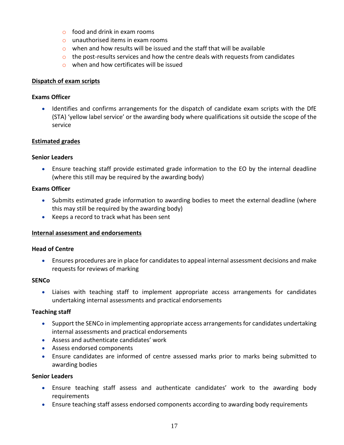- $\circ$  food and drink in exam rooms
- o unauthorised items in exam rooms
- $\circ$  when and how results will be issued and the staff that will be available
- $\circ$  the post-results services and how the centre deals with requests from candidates
- o when and how certificates will be issued

#### **Dispatch of exam scripts**

#### **Exams Officer**

• Identifies and confirms arrangements for the dispatch of candidate exam scripts with the DfE (STA) 'yellow label service' or the awarding body where qualifications sit outside the scope of the service

#### **Estimated grades**

#### **Senior Leaders**

• Ensure teaching staff provide estimated grade information to the EO by the internal deadline (where this still may be required by the awarding body)

#### **Exams Officer**

- Submits estimated grade information to awarding bodies to meet the external deadline (where this may still be required by the awarding body)
- Keeps a record to track what has been sent

#### **Internal assessment and endorsements**

#### **Head of Centre**

• Ensures procedures are in place for candidates to appeal internal assessment decisions and make requests for reviews of marking

#### **SENCo**

• Liaises with teaching staff to implement appropriate access arrangements for candidates undertaking internal assessments and practical endorsements

#### **Teaching staff**

- Support the SENCo in implementing appropriate access arrangements for candidates undertaking internal assessments and practical endorsements
- Assess and authenticate candidates' work
- Assess endorsed components
- Ensure candidates are informed of centre assessed marks prior to marks being submitted to awarding bodies

#### **Senior Leaders**

- Ensure teaching staff assess and authenticate candidates' work to the awarding body requirements
- Ensure teaching staff assess endorsed components according to awarding body requirements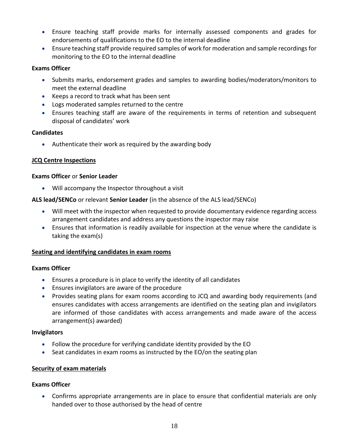- Ensure teaching staff provide marks for internally assessed components and grades for endorsements of qualifications to the EO to the internal deadline
- Ensure teaching staff provide required samples of work for moderation and sample recordings for monitoring to the EO to the internal deadline

## **Exams Officer**

- Submits marks, endorsement grades and samples to awarding bodies/moderators/monitors to meet the external deadline
- Keeps a record to track what has been sent
- Logs moderated samples returned to the centre
- Ensures teaching staff are aware of the requirements in terms of retention and subsequent disposal of candidates' work

## **Candidates**

• Authenticate their work as required by the awarding body

## **JCQ Centre Inspections**

#### **Exams Officer** or **Senior Leader**

• Will accompany the Inspector throughout a visit

**ALS lead/SENCo** or relevant **Senior Leader** (in the absence of the ALS lead/SENCo)

- Will meet with the inspector when requested to provide documentary evidence regarding access arrangement candidates and address any questions the inspector may raise
- Ensures that information is readily available for inspection at the venue where the candidate is taking the exam(s)

#### **Seating and identifying candidates in exam rooms**

#### **Exams Officer**

- Ensures a procedure is in place to verify the identity of all candidates
- Ensures invigilators are aware of the procedure
- Provides seating plans for exam rooms according to JCQ and awarding body requirements (and ensures candidates with access arrangements are identified on the seating plan and invigilators are informed of those candidates with access arrangements and made aware of the access arrangement(s) awarded)

#### **Invigilators**

- Follow the procedure for verifying candidate identity provided by the EO
- Seat candidates in exam rooms as instructed by the EO/on the seating plan

#### **Security of exam materials**

#### **Exams Officer**

• Confirms appropriate arrangements are in place to ensure that confidential materials are only handed over to those authorised by the head of centre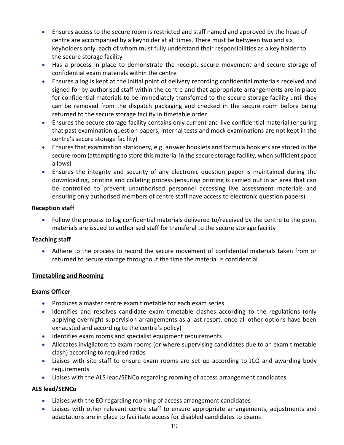- Ensures access to the secure room is restricted and staff named and approved by the head of centre are accompanied by a keyholder at all times. There must be between two and six keyholders only, each of whom must fully understand their responsibilities as a key holder to the secure storage facility
- Has a process in place to demonstrate the receipt, secure movement and secure storage of confidential exam materials within the centre
- Ensures a log is kept at the initial point of delivery recording confidential materials received and signed for by authorised staff within the centre and that appropriate arrangements are in place for confidential materials to be immediately transferred to the secure storage facility until they can be removed from the dispatch packaging and checked in the secure room before being returned to the secure storage facility in timetable order
- Ensures the secure storage facility contains only current and live confidential material (ensuring that past examination question papers, internal tests and mock examinations are not kept in the centre's secure storage facility)
- Ensures that examination stationery, e.g. answer booklets and formula booklets are stored in the secure room (attempting to store this material in the secure storage facility, when sufficient space allows)
- Ensures the integrity and security of any electronic question paper is maintained during the downloading, printing and collating process (ensuring printing is carried out in an area that can be controlled to prevent unauthorised personnel accessing live assessment materials and ensuring only authorised members of centre staff have access to electronic question papers)

## **Reception staff**

• Follow the process to log confidential materials delivered to/received by the centre to the point materials are issued to authorised staff for transferal to the secure storage facility

## **Teaching staff**

• Adhere to the process to record the secure movement of confidential materials taken from or returned to secure storage throughout the time the material is confidential

## **Timetabling and Rooming**

## **Exams Officer**

- Produces a master centre exam timetable for each exam series
- Identifies and resolves candidate exam timetable clashes according to the regulations (only applying overnight supervision arrangements as a last resort, once all other options have been exhausted and according to the centre's policy)
- Identifies exam rooms and specialist equipment requirements
- Allocates invigilators to exam rooms (or where supervising candidates due to an exam timetable clash) according to required ratios
- Liaises with site staff to ensure exam rooms are set up according to JCQ and awarding body requirements
- Liaises with the ALS lead/SENCo regarding rooming of access arrangement candidates

## **ALS lead/SENCo**

- Liaises with the EO regarding rooming of access arrangement candidates
- Liaises with other relevant centre staff to ensure appropriate arrangements, adjustments and adaptations are in place to facilitate access for disabled candidates to exams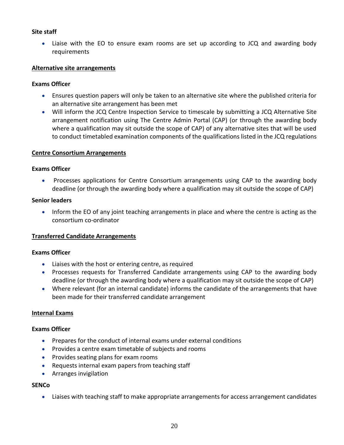#### **Site staff**

• Liaise with the EO to ensure exam rooms are set up according to JCQ and awarding body requirements

#### **Alternative site arrangements**

#### **Exams Officer**

- Ensures question papers will only be taken to an alternative site where the published criteria for an alternative site arrangement has been met
- Will inform the JCQ Centre Inspection Service to timescale by submitting a JCQ Alternative Site arrangement notification using The Centre Admin Portal (CAP) (or through the awarding body where a qualification may sit outside the scope of CAP) of any alternative sites that will be used to conduct timetabled examination components of the qualifications listed in the JCQ regulations

#### **Centre Consortium Arrangements**

#### **Exams Officer**

• Processes applications for Centre Consortium arrangements using CAP to the awarding body deadline (or through the awarding body where a qualification may sit outside the scope of CAP)

#### **Senior leaders**

• Inform the EO of any joint teaching arrangements in place and where the centre is acting as the consortium co-ordinator

#### **Transferred Candidate Arrangements**

#### **Exams Officer**

- Liaises with the host or entering centre, as required
- Processes requests for Transferred Candidate arrangements using CAP to the awarding body deadline (or through the awarding body where a qualification may sit outside the scope of CAP)
- Where relevant (for an internal candidate) informs the candidate of the arrangements that have been made for their transferred candidate arrangement

#### **Internal Exams**

#### **Exams Officer**

- Prepares for the conduct of internal exams under external conditions
- Provides a centre exam timetable of subjects and rooms
- Provides seating plans for exam rooms
- Requests internal exam papers from teaching staff
- Arranges invigilation

#### **SENCo**

• Liaises with teaching staff to make appropriate arrangements for access arrangement candidates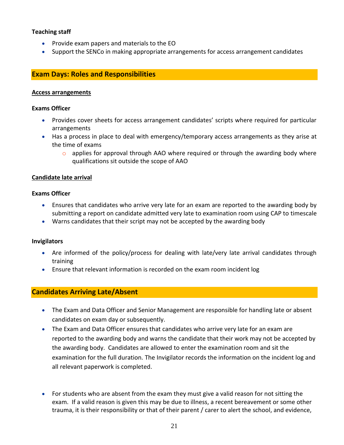## **Teaching staff**

- Provide exam papers and materials to the EO
- Support the SENCo in making appropriate arrangements for access arrangement candidates

## **Exam Days: Roles and Responsibilities**

#### **Access arrangements**

#### **Exams Officer**

- Provides cover sheets for access arrangement candidates' scripts where required for particular arrangements
- Has a process in place to deal with emergency/temporary access arrangements as they arise at the time of exams
	- $\circ$  applies for approval through AAO where required or through the awarding body where qualifications sit outside the scope of AAO

#### **Candidate late arrival**

#### **Exams Officer**

- Ensures that candidates who arrive very late for an exam are reported to the awarding body by submitting a report on candidate admitted very late to examination room using CAP to timescale
- Warns candidates that their script may not be accepted by the awarding body

#### **Invigilators**

- Are informed of the policy/process for dealing with late/very late arrival candidates through training
- Ensure that relevant information is recorded on the exam room incident log

## **Candidates Arriving Late/Absent**

- The Exam and Data Officer and Senior Management are responsible for handling late or absent candidates on exam day or subsequently.
- The Exam and Data Officer ensures that candidates who arrive very late for an exam are reported to the awarding body and warns the candidate that their work may not be accepted by the awarding body. Candidates are allowed to enter the examination room and sit the examination for the full duration*.* The Invigilator records the information on the incident log and all relevant paperwork is completed.
- For students who are absent from the exam they must give a valid reason for not sitting the exam. If a valid reason is given this may be due to illness, a recent bereavement or some other trauma, it is their responsibility or that of their parent / carer to alert the school, and evidence,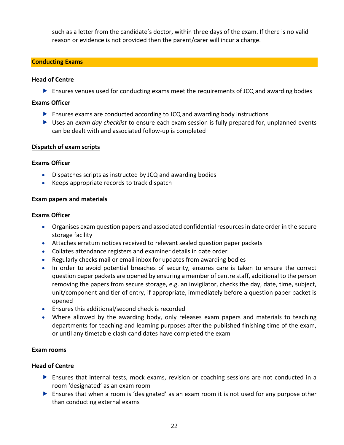such as a letter from the candidate's doctor, within three days of the exam. If there is no valid reason or evidence is not provided then the parent/carer will incur a charge.

## **Conducting Exams**

#### **Head of Centre**

Ensures venues used for conducting exams meet the requirements of JCQ and awarding bodies

#### **Exams Officer**

- Ensures exams are conducted according to JCQ and awarding body instructions
- Uses an *exam day checklist* to ensure each exam session is fully prepared for, unplanned events can be dealt with and associated follow-up is completed

#### **Dispatch of exam scripts**

#### **Exams Officer**

- Dispatches scripts as instructed by JCQ and awarding bodies
- Keeps appropriate records to track dispatch

#### **Exam papers and materials**

#### **Exams Officer**

- Organises exam question papers and associated confidential resources in date order in the secure storage facility
- Attaches erratum notices received to relevant sealed question paper packets
- Collates attendance registers and examiner details in date order
- Regularly checks mail or email inbox for updates from awarding bodies
- In order to avoid potential breaches of security, ensures care is taken to ensure the correct question paper packets are opened by ensuring a member of centre staff, additional to the person removing the papers from secure storage, e.g. an invigilator, checks the day, date, time, subject, unit/component and tier of entry, if appropriate, immediately before a question paper packet is opened
- Ensures this additional/second check is recorded
- Where allowed by the awarding body, only releases exam papers and materials to teaching departments for teaching and learning purposes after the published finishing time of the exam, or until any timetable clash candidates have completed the exam

#### **Exam rooms**

#### **Head of Centre**

- Ensures that internal tests, mock exams, revision or coaching sessions are not conducted in a room 'designated' as an exam room
- Ensures that when a room is 'designated' as an exam room it is not used for any purpose other than conducting external exams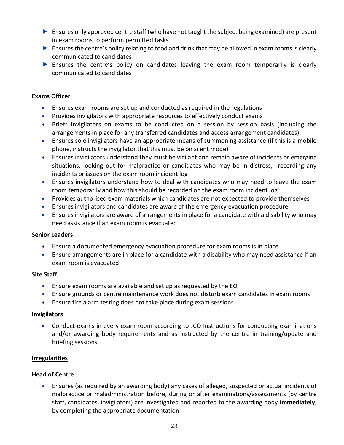- $\triangleright$  Ensures only approved centre staff (who have not taught the subject being examined) are present in exam rooms to perform permitted tasks
- $\triangleright$  Ensures the centre's policy relating to food and drink that may be allowed in exam rooms is clearly communicated to candidates
- Ensures the centre's policy on candidates leaving the exam room temporarily is clearly communicated to candidates

## **Exams Officer**

- Ensures exam rooms are set up and conducted as required in the regulations
- Provides invigilators with appropriate resources to effectively conduct exams
- Briefs invigilators on exams to be conducted on a session by session basis (including the arrangements in place for any transferred candidates and access arrangement candidates)
- Ensures sole invigilators have an appropriate means of summoning assistance (if this is a mobile phone, instructs the invigilator that this must be on silent mode)
- Ensures invigilators understand they must be vigilant and remain aware of incidents or emerging situations, looking out for malpractice or candidates who may be in distress, recording any incidents or issues on the exam room incident log
- Ensures invigilators understand how to deal with candidates who may need to leave the exam room temporarily and how this should be recorded on the exam room incident log
- Provides authorised exam materials which candidates are not expected to provide themselves
- Ensures invigilators and candidates are aware of the emergency evacuation procedure
- Ensures invigilators are aware of arrangements in place for a candidate with a disability who may need assistance if an exam room is evacuated

#### **Senior Leaders**

- Ensure a documented emergency evacuation procedure for exam rooms is in place
- Ensure arrangements are in place for a candidate with a disability who may need assistance if an exam room is evacuated

#### **Site Staff**

- Ensure exam rooms are available and set up as requested by the EO
- Ensure grounds or centre maintenance work does not disturb exam candidates in exam rooms
- Ensure fire alarm testing does not take place during exam sessions

#### **Invigilators**

• Conduct exams in every exam room according to JCQ Instructions for conducting examinations and/or awarding body requirements and as instructed by the centre in training/update and briefing sessions

#### **Irregularities**

## **Head of Centre**

• Ensures (as required by an awarding body) any cases of alleged, suspected or actual incidents of malpractice or maladministration before, during or after examinations/assessments (by centre staff, candidates, invigilators) are investigated and reported to the awarding body **immediately**, by completing the appropriate documentation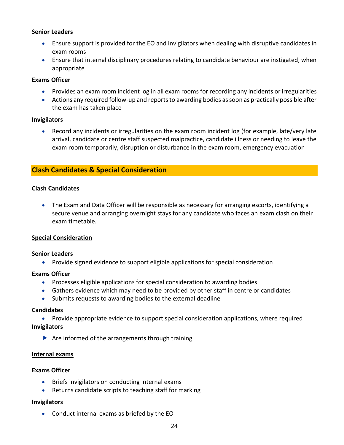#### **Senior Leaders**

- Ensure support is provided for the EO and invigilators when dealing with disruptive candidates in exam rooms
- Ensure that internal disciplinary procedures relating to candidate behaviour are instigated, when appropriate

## **Exams Officer**

- Provides an exam room incident log in all exam rooms for recording any incidents or irregularities
- Actions any required follow-up and reports to awarding bodies as soon as practically possible after the exam has taken place

## **Invigilators**

• Record any incidents or irregularities on the exam room incident log (for example, late/very late arrival, candidate or centre staff suspected malpractice, candidate illness or needing to leave the exam room temporarily, disruption or disturbance in the exam room, emergency evacuation

## **Clash Candidates & Special Consideration**

## **Clash Candidates**

• The Exam and Data Officer will be responsible as necessary for arranging escorts, identifying a secure venue and arranging overnight stays for any candidate who faces an exam clash on their exam timetable.

## **Special Consideration**

#### **Senior Leaders**

• Provide signed evidence to support eligible applications for special consideration

#### **Exams Officer**

- Processes eligible applications for special consideration to awarding bodies
- Gathers evidence which may need to be provided by other staff in centre or candidates
- Submits requests to awarding bodies to the external deadline

#### **Candidates**

• Provide appropriate evidence to support special consideration applications, where required **Invigilators**

 $\blacktriangleright$  Are informed of the arrangements through training

#### **Internal exams**

#### **Exams Officer**

- Briefs invigilators on conducting internal exams
- Returns candidate scripts to teaching staff for marking

#### **Invigilators**

• Conduct internal exams as briefed by the EO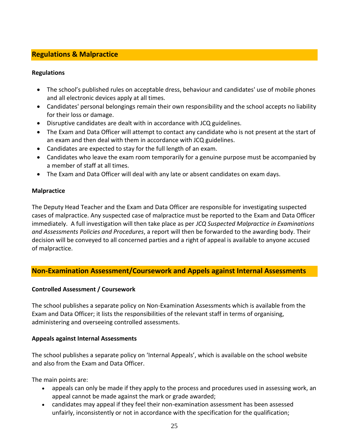## **Regulations & Malpractice**

## **Regulations**

- The school's published rules on acceptable dress, behaviour and candidates' use of mobile phones and all electronic devices apply at all times.
- Candidates' personal belongings remain their own responsibility and the school accepts no liability for their loss or damage.
- Disruptive candidates are dealt with in accordance with JCQ guidelines.
- The Exam and Data Officer will attempt to contact any candidate who is not present at the start of an exam and then deal with them in accordance with JCQ guidelines.
- Candidates are expected to stay for the full length of an exam.
- Candidates who leave the exam room temporarily for a genuine purpose must be accompanied by a member of staff at all times.
- The Exam and Data Officer will deal with any late or absent candidates on exam days.

## **Malpractice**

The Deputy Head Teacher and the Exam and Data Officer are responsible for investigating suspected cases of malpractice. Any suspected case of malpractice must be reported to the Exam and Data Officer immediately. A full investigation will then take place as per *JCQ Suspected Malpractice in Examinations and Assessments Policies and Procedures*, a report will then be forwarded to the awarding body. Their decision will be conveyed to all concerned parties and a right of appeal is available to anyone accused of malpractice.

## **Non-Examination Assessment/Coursework and Appels against Internal Assessments**

## **Controlled Assessment / Coursework**

The school publishes a separate policy on Non-Examination Assessments which is available from the Exam and Data Officer; it lists the responsibilities of the relevant staff in terms of organising, administering and overseeing controlled assessments.

## **Appeals against Internal Assessments**

The school publishes a separate policy on 'Internal Appeals', which is available on the school website and also from the Exam and Data Officer.

The main points are:

- appeals can only be made if they apply to the process and procedures used in assessing work, an appeal cannot be made against the mark or grade awarded;
- candidates may appeal if they feel their non-examination assessment has been assessed unfairly, inconsistently or not in accordance with the specification for the qualification;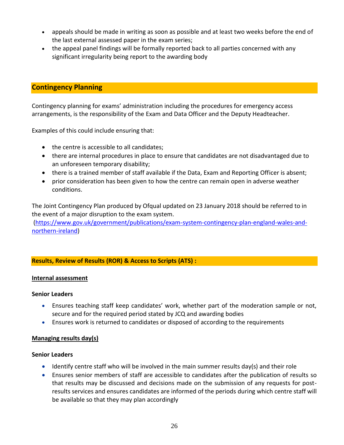- appeals should be made in writing as soon as possible and at least two weeks before the end of the last external assessed paper in the exam series;
- the appeal panel findings will be formally reported back to all parties concerned with any significant irregularity being report to the awarding body

## **Contingency Planning**

Contingency planning for exams' administration including the procedures for emergency access arrangements, is the responsibility of the Exam and Data Officer and the Deputy Headteacher.

Examples of this could include ensuring that:

- the centre is accessible to all candidates;
- there are internal procedures in place to ensure that candidates are not disadvantaged due to an unforeseen temporary disability;
- there is a trained member of staff available if the Data, Exam and Reporting Officer is absent;
- prior consideration has been given to how the centre can remain open in adverse weather conditions.

The Joint Contingency Plan produced by Ofqual updated on 23 January 2018 should be referred to in the event of a major disruption to the exam system.

[\(https://www.gov.uk/government/publications/exam-system-contingency-plan-england-wales-and](https://www.gov.uk/government/publications/exam-system-contingency-plan-england-wales-and-northern-ireland)[northern-ireland\)](https://www.gov.uk/government/publications/exam-system-contingency-plan-england-wales-and-northern-ireland)

## **Results, Review of Results (ROR) & Access to Scripts (ATS) :**

## **Internal assessment**

#### **Senior Leaders**

- Ensures teaching staff keep candidates' work, whether part of the moderation sample or not, secure and for the required period stated by JCQ and awarding bodies
- Ensures work is returned to candidates or disposed of according to the requirements

#### **Managing results day(s)**

#### **Senior Leaders**

- Identify centre staff who will be involved in the main summer results day(s) and their role
- Ensures senior members of staff are accessible to candidates after the publication of results so that results may be discussed and decisions made on the submission of any requests for postresults services and ensures candidates are informed of the periods during which centre staff will be available so that they may plan accordingly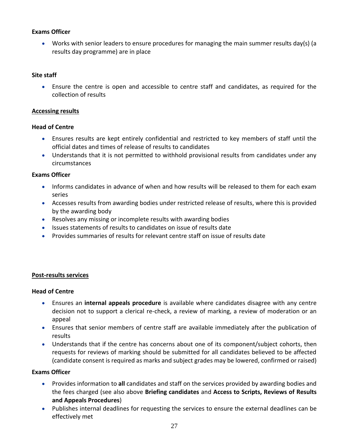## **Exams Officer**

• Works with senior leaders to ensure procedures for managing the main summer results day(s) (a results day programme) are in place

#### **Site staff**

• Ensure the centre is open and accessible to centre staff and candidates, as required for the collection of results

#### **Accessing results**

#### **Head of Centre**

- Ensures results are kept entirely confidential and restricted to key members of staff until the official dates and times of release of results to candidates
- Understands that it is not permitted to withhold provisional results from candidates under any circumstances

## **Exams Officer**

- Informs candidates in advance of when and how results will be released to them for each exam series
- Accesses results from awarding bodies under restricted release of results, where this is provided by the awarding body
- Resolves any missing or incomplete results with awarding bodies
- Issues statements of results to candidates on issue of results date
- Provides summaries of results for relevant centre staff on issue of results date

## **Post-results services**

#### **Head of Centre**

- Ensures an **internal appeals procedure** is available where candidates disagree with any centre decision not to support a clerical re-check, a review of marking, a review of moderation or an appeal
- Ensures that senior members of centre staff are available immediately after the publication of results
- Understands that if the centre has concerns about one of its component/subject cohorts, then requests for reviews of marking should be submitted for all candidates believed to be affected (candidate consent is required as marks and subject grades may be lowered, confirmed or raised)

#### **Exams Officer**

- Provides information to **all** candidates and staff on the services provided by awarding bodies and the fees charged (see also above **Briefing candidates** and **Access to Scripts, Reviews of Results and Appeals Procedures**)
- Publishes internal deadlines for requesting the services to ensure the external deadlines can be effectively met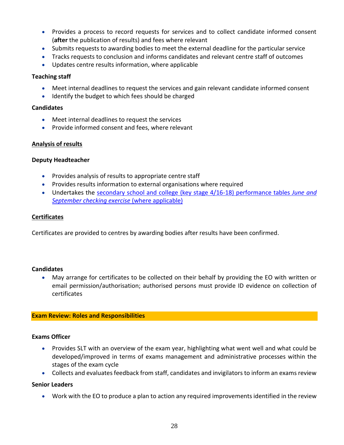- Provides a process to record requests for services and to collect candidate informed consent (**after** the publication of results) and fees where relevant
- Submits requests to awarding bodies to meet the external deadline for the particular service
- Tracks requests to conclusion and informs candidates and relevant centre staff of outcomes
- Updates centre results information, where applicable

#### **Teaching staff**

- Meet internal deadlines to request the services and gain relevant candidate informed consent
- Identify the budget to which fees should be charged

#### **Candidates**

- Meet internal deadlines to request the services
- Provide informed consent and fees, where relevant

#### **Analysis of results**

#### **Deputy Headteacher**

- Provides analysis of results to appropriate centre staff
- Provides results information to external organisations where required
- Undertakes the secondary school and college (key stage 4/16-18) performance tables *June and September checking exercise* (where applicable)

#### **Certificates**

Certificates are provided to centres by awarding bodies after results have been confirmed.

#### **Candidates**

• May arrange for certificates to be collected on their behalf by providing the EO with written or email permission/authorisation; authorised persons must provide ID evidence on collection of certificates

#### **Exam Review: Roles and Responsibilities**

#### **Exams Officer**

- Provides SLT with an overview of the exam year, highlighting what went well and what could be developed/improved in terms of exams management and administrative processes within the stages of the exam cycle
- Collects and evaluates feedback from staff, candidates and invigilators to inform an exams review

#### **Senior Leaders**

• Work with the EO to produce a plan to action any required improvements identified in the review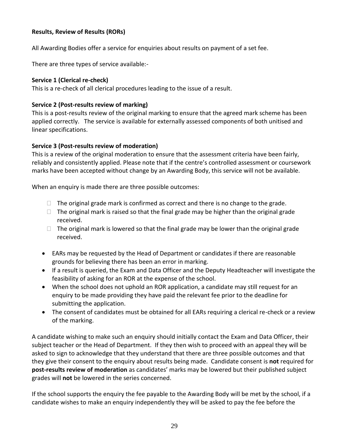## **Results, Review of Results (RORs)**

All Awarding Bodies offer a service for enquiries about results on payment of a set fee.

There are three types of service available:-

## **Service 1 (Clerical re-check)**

This is a re-check of all clerical procedures leading to the issue of a result.

## **Service 2 (Post-results review of marking)**

This is a post-results review of the original marking to ensure that the agreed mark scheme has been applied correctly. The service is available for externally assessed components of both unitised and linear specifications.

## **Service 3 (Post-results review of moderation)**

This is a review of the original moderation to ensure that the assessment criteria have been fairly, reliably and consistently applied. Please note that if the centre's controlled assessment or coursework marks have been accepted without change by an Awarding Body, this service will not be available.

When an enquiry is made there are three possible outcomes:

- $\Box$  The original grade mark is confirmed as correct and there is no change to the grade.
- $\Box$  The original mark is raised so that the final grade may be higher than the original grade received.
- $\Box$  The original mark is lowered so that the final grade may be lower than the original grade received.
- EARs may be requested by the Head of Department or candidates if there are reasonable grounds for believing there has been an error in marking.
- If a result is queried, the Exam and Data Officer and the Deputy Headteacher will investigate the feasibility of asking for an ROR at the expense of the school.
- When the school does not uphold an ROR application, a candidate may still request for an enquiry to be made providing they have paid the relevant fee prior to the deadline for submitting the application.
- The consent of candidates must be obtained for all EARs requiring a clerical re-check or a review of the marking.

A candidate wishing to make such an enquiry should initially contact the Exam and Data Officer, their subject teacher or the Head of Department. If they then wish to proceed with an appeal they will be asked to sign to acknowledge that they understand that there are three possible outcomes and that they give their consent to the enquiry about results being made. Candidate consent is **not** required for **post-results review of moderation** as candidates' marks may be lowered but their published subject grades will **not** be lowered in the series concerned.

If the school supports the enquiry the fee payable to the Awarding Body will be met by the school, if a candidate wishes to make an enquiry independently they will be asked to pay the fee before the